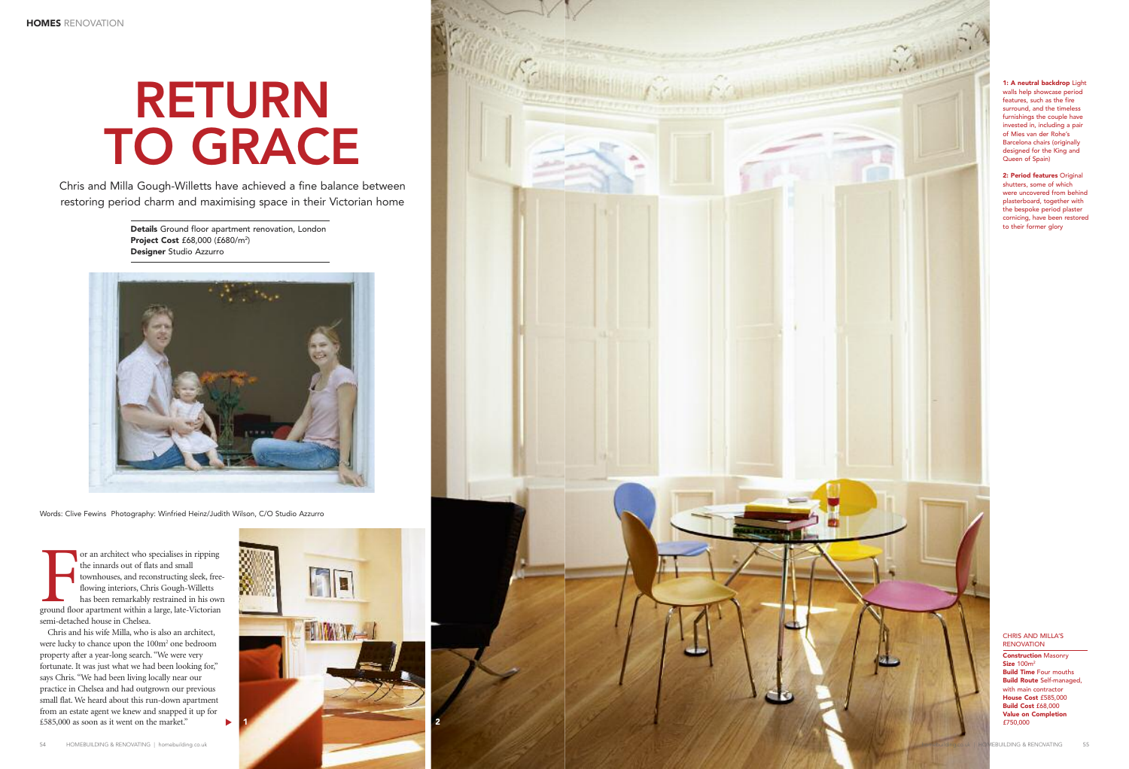For an architect who specialises in ripping<br>the innards out of flats and small<br>townhouses, and reconstructing sleek, free<br>flowing interiors, Chris Gough-Willetts<br>has been remarkably restrained in his ow.<br>ground floor apart or an architect who specialises in ripping the innards out of flats and small townhouses, and reconstructing sleek, freeflowing interiors, Chris Gough-Willetts has been remarkably restrained in his own semi-detached house in Chelsea.

Chris and his wife Milla, who is also an architect, were lucky to chance upon the 100m2 one bedroom property after a year-long search. "We were very fortunate. It was just what we had been looking for," says Chris. "We had been living locally near our practice in Chelsea and had outgrown our previous small flat. We heard about this run-down apartment from an estate agent we knew and snapped it up for £585,000 as soon as it went on the market." ▼

## CHRIS AND MILLA'S RENOVATION

**Construction** Masonry **Size** 100m2 **Build Time** Four mouths **Build Route** Self-managed, with main contractor **House Cost** £585,000 **Build Cost** £68,000 **Value on Completion** £750,000

## **RETURN TO GRACE**

**Details** Ground floor apartment renovation, London **Project Cost** £68,000 (£680/m2 ) **Designer** Studio Azzurro



**1: A neutral backdrop** Light walls help showcase period features, such as the fire surround, and the timeless furnishings the couple have invested in, including a pair of Mies van der Rohe's Barcelona chairs (originally designed for the King and Queen of Spain)

**2: Period features** Original shutters, some of which were uncovered from behind plasterboard, together with the bespoke period plaster cornicing, have been restored to their former glory

Words: Clive Fewins Photography: Winfried Heinz/Judith Wilson, C/O Studio Azzurro

Chris and Milla Gough-Willetts have achieved a fine balance between restoring period charm and maximising space in their Victorian home



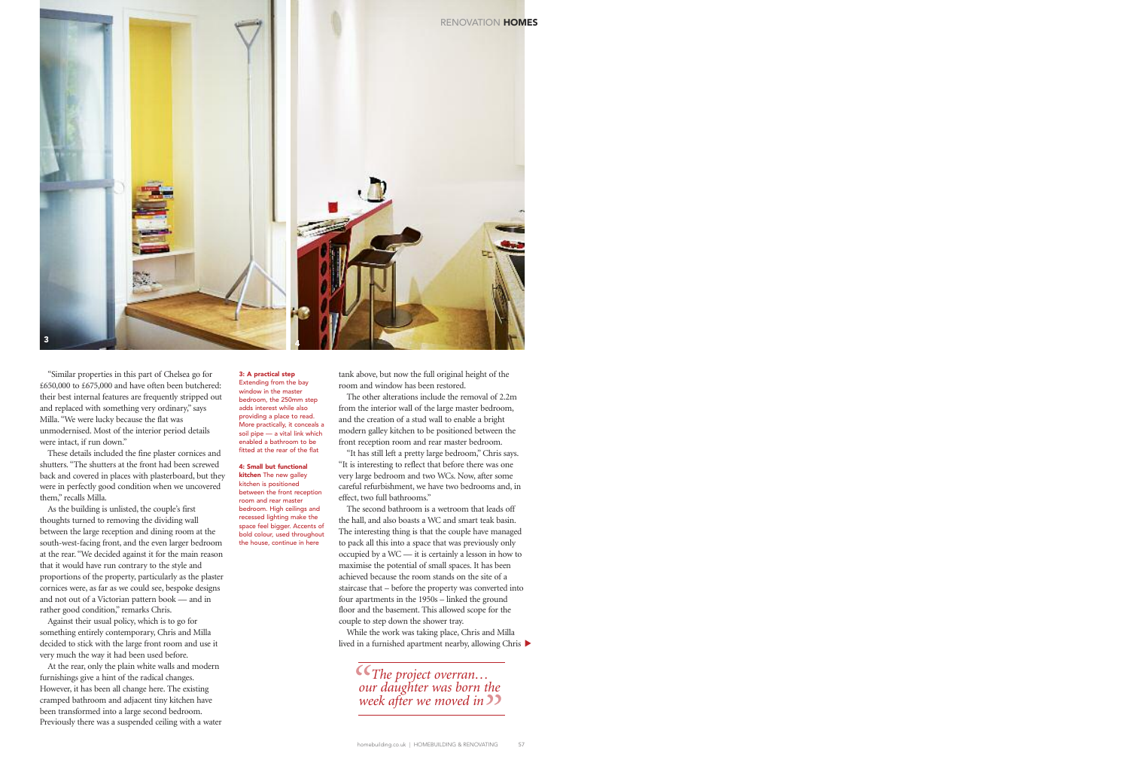"Similar properties in this part of Chelsea go for £650,000 to £675,000 and have often been butchered: their best internal features are frequently stripped out and replaced with something very ordinary," says Milla. "We were lucky because the flat was unmodernised. Most of the interior period details were intact, if run down."

These details included the fine plaster cornices and shutters. "The shutters at the front had been screwed back and covered in places with plasterboard, but they were in perfectly good condition when we uncovered them," recalls Milla.

As the building is unlisted, the couple's first thoughts turned to removing the dividing wall between the large reception and dining room at the south-west-facing front, and the even larger bedroom at the rear. "We decided against it for the main reason that it would have run contrary to the style and proportions of the property, particularly as the plaster cornices were, as far as we could see, bespoke designs and not out of a Victorian pattern book — and in rather good condition," remarks Chris.

Against their usual policy, which is to go for something entirely contemporary, Chris and Milla decided to stick with the large front room and use it very much the way it had been used before.

At the rear, only the plain white walls and modern furnishings give a hint of the radical changes. However, it has been all change here. The existing cramped bathroom and adjacent tiny kitchen have been transformed into a large second bedroom. Previously there was a suspended ceiling with a water lived in a furnished apartment nearby, allowing Chris  $\blacktriangleright$ While the work was taking place, Chris and Milla

**3: A practical step** Extending from the bay window in the master bedroom, the 250mm step adds interest while also providing a place to read. More practically, it conceals a soil pipe — a vital link which enabled a bathroom to be fitted at the rear of the flat

**4: Small but functional kitchen** The new galley kitchen is positioned between the front reception room and rear master bedroom. High ceilings and recessed lighting make the space feel bigger. Accents of bold colour, used throughout the house, continue in here



tank above, but now the full original height of the room and window has been restored.

The other alterations include the removal of 2.2m from the interior wall of the large master bedroom, and the creation of a stud wall to enable a bright modern galley kitchen to be positioned between the front reception room and rear master bedroom.

"It has still left a pretty large bedroom," Chris says. "It is interesting to reflect that before there was one very large bedroom and two WCs. Now, after some careful refurbishment, we have two bedrooms and, in effect, two full bathrooms."

The second bathroom is a wetroom that leads off the hall, and also boasts a WC and smart teak basin. The interesting thing is that the couple have managed to pack all this into a space that was previously only occupied by a WC — it is certainly a lesson in how to maximise the potential of small spaces. It has been achieved because the room stands on the site of a staircase that – before the property was converted into four apartments in the 1950s – linked the ground floor and the basement. This allowed scope for the couple to step down the shower tray.

*" " The project overran… our daughter was born the week after we moved in*